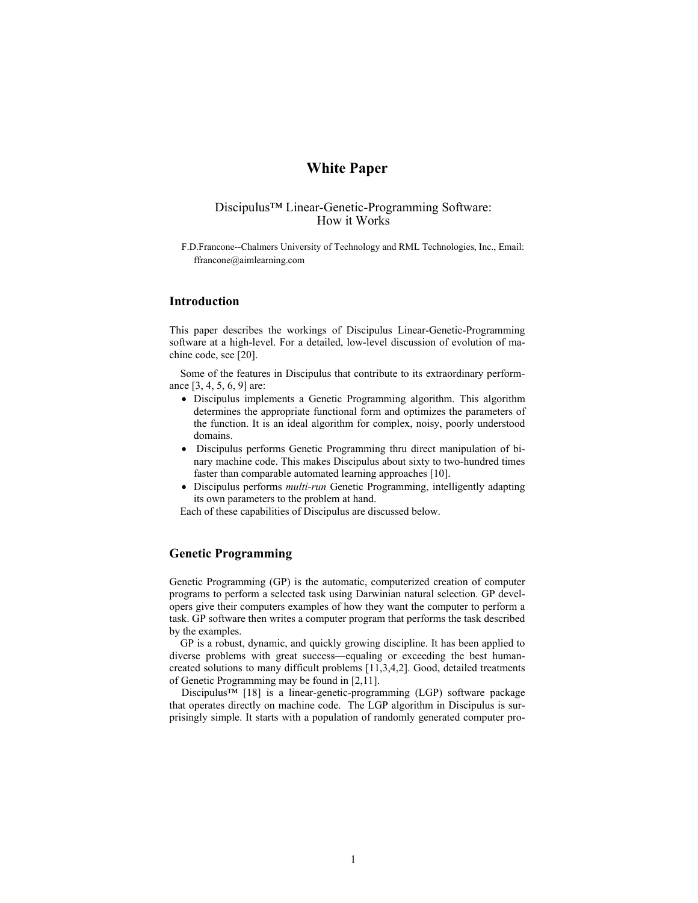# **White Paper**

## Discipulus™ Linear-Genetic-Programming Software: How it Works

F.D.Francone--Chalmers University of Technology and RML Technologies, Inc., Email: ffrancone@aimlearning.com

## **Introduction**

This paper describes the workings of Discipulus Linear-Genetic-Programming software at a high-level. For a detailed, low-level discussion of evolution of machine code, see [20].

 Some of the features in Discipulus that contribute to its extraordinary performance [3, 4, 5, 6, 9] are:

- Discipulus implements a Genetic Programming algorithm. This algorithm determines the appropriate functional form and optimizes the parameters of the function. It is an ideal algorithm for complex, noisy, poorly understood domains.
- Discipulus performs Genetic Programming thru direct manipulation of binary machine code. This makes Discipulus about sixty to two-hundred times faster than comparable automated learning approaches [10].
- Discipulus performs *multi-run* Genetic Programming, intelligently adapting its own parameters to the problem at hand.

Each of these capabilities of Discipulus are discussed below.

# **Genetic Programming**

Genetic Programming (GP) is the automatic, computerized creation of computer programs to perform a selected task using Darwinian natural selection. GP developers give their computers examples of how they want the computer to perform a task. GP software then writes a computer program that performs the task described by the examples.

 GP is a robust, dynamic, and quickly growing discipline. It has been applied to diverse problems with great success—equaling or exceeding the best humancreated solutions to many difficult problems [11,3,4,2]. Good, detailed treatments of Genetic Programming may be found in [2,11].

Discipulus™ [18] is a linear-genetic-programming (LGP) software package that operates directly on machine code. The LGP algorithm in Discipulus is surprisingly simple. It starts with a population of randomly generated computer pro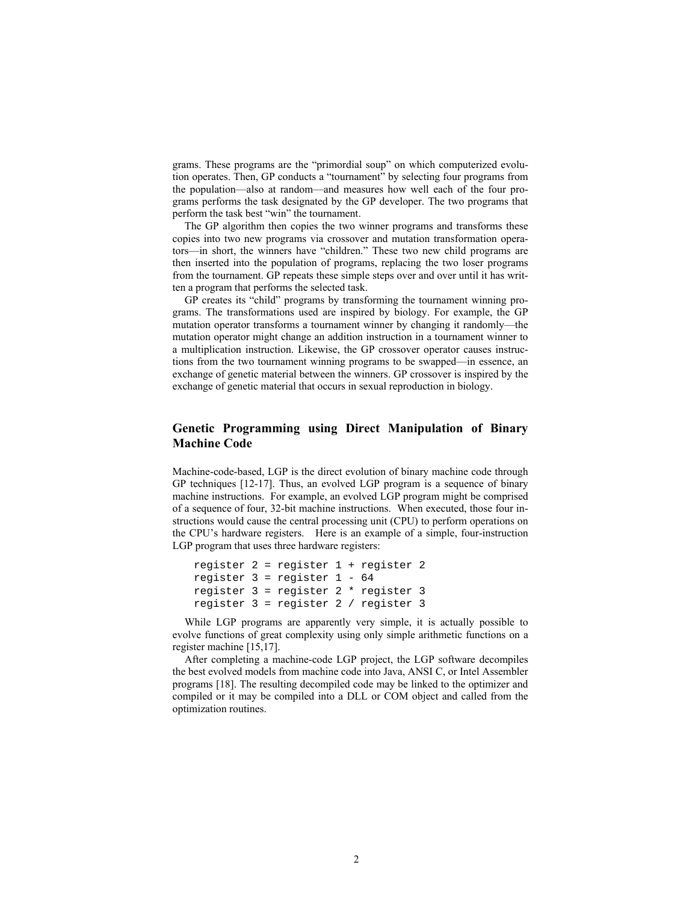grams. These programs are the "primordial soup" on which computerized evolution operates. Then, GP conducts a "tournament" by selecting four programs from the population—also at random—and measures how well each of the four programs performs the task designated by the GP developer. The two programs that perform the task best "win" the tournament.

The GP algorithm then copies the two winner programs and transforms these copies into two new programs via crossover and mutation transformation operators—in short, the winners have "children." These two new child programs are then inserted into the population of programs, replacing the two loser programs from the tournament. GP repeats these simple steps over and over until it has written a program that performs the selected task.

GP creates its "child" programs by transforming the tournament winning programs. The transformations used are inspired by biology. For example, the GP mutation operator transforms a tournament winner by changing it randomly—the mutation operator might change an addition instruction in a tournament winner to a multiplication instruction. Likewise, the GP crossover operator causes instructions from the two tournament winning programs to be swapped—in essence, an exchange of genetic material between the winners. GP crossover is inspired by the exchange of genetic material that occurs in sexual reproduction in biology.

# **Genetic Programming using Direct Manipulation of Binary Machine Code**

Machine-code-based, LGP is the direct evolution of binary machine code through GP techniques [12-17]. Thus, an evolved LGP program is a sequence of binary machine instructions. For example, an evolved LGP program might be comprised of a sequence of four, 32-bit machine instructions. When executed, those four instructions would cause the central processing unit (CPU) to perform operations on the CPU's hardware registers. Here is an example of a simple, four-instruction LGP program that uses three hardware registers:

```
 register 2 = register 1 + register 2 
register 3 = register 1 - 64 register 3 = register 2 * register 3 
 register 3 = register 2 / register 3
```
While LGP programs are apparently very simple, it is actually possible to evolve functions of great complexity using only simple arithmetic functions on a register machine [15,17].

After completing a machine-code LGP project, the LGP software decompiles the best evolved models from machine code into Java, ANSI C, or Intel Assembler programs [18]. The resulting decompiled code may be linked to the optimizer and compiled or it may be compiled into a DLL or COM object and called from the optimization routines.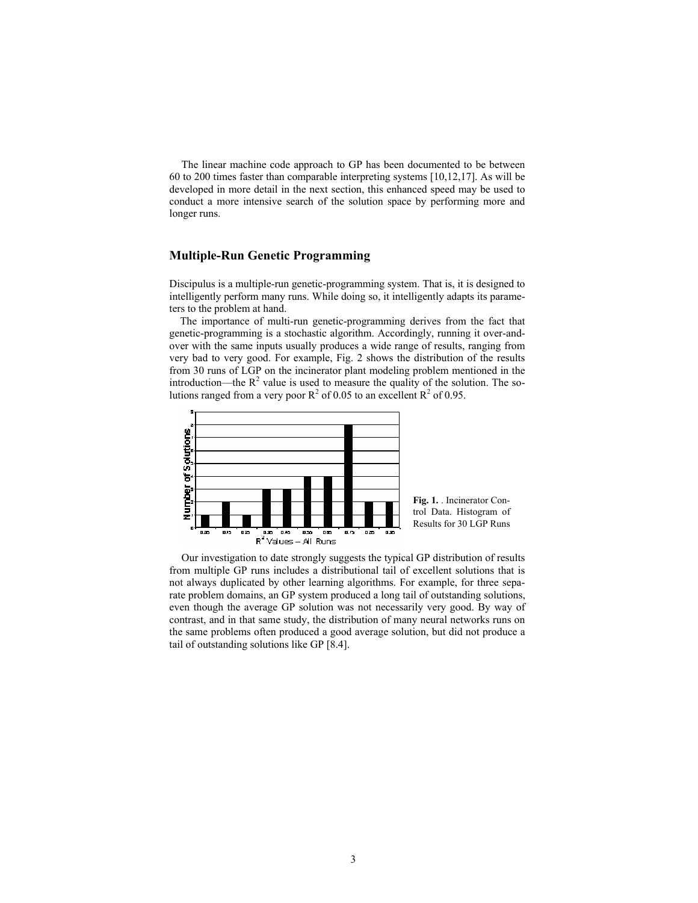The linear machine code approach to GP has been documented to be between 60 to 200 times faster than comparable interpreting systems [10,12,17]. As will be developed in more detail in the next section, this enhanced speed may be used to conduct a more intensive search of the solution space by performing more and longer runs.

#### **Multiple-Run Genetic Programming**

Discipulus is a multiple-run genetic-programming system. That is, it is designed to intelligently perform many runs. While doing so, it intelligently adapts its parameters to the problem at hand.

 The importance of multi-run genetic-programming derives from the fact that genetic-programming is a stochastic algorithm. Accordingly, running it over-andover with the same inputs usually produces a wide range of results, ranging from very bad to very good. For example, Fig. 2 shows the distribution of the results from 30 runs of LGP on the incinerator plant modeling problem mentioned in the introduction—the  $R^2$  value is used to measure the quality of the solution. The solutions ranged from a very poor  $R^2$  of 0.05 to an excellent  $R^2$  of 0.95.



Our investigation to date strongly suggests the typical GP distribution of results from multiple GP runs includes a distributional tail of excellent solutions that is not always duplicated by other learning algorithms. For example, for three separate problem domains, an GP system produced a long tail of outstanding solutions, even though the average GP solution was not necessarily very good. By way of contrast, and in that same study, the distribution of many neural networks runs on the same problems often produced a good average solution, but did not produce a tail of outstanding solutions like GP [8.4].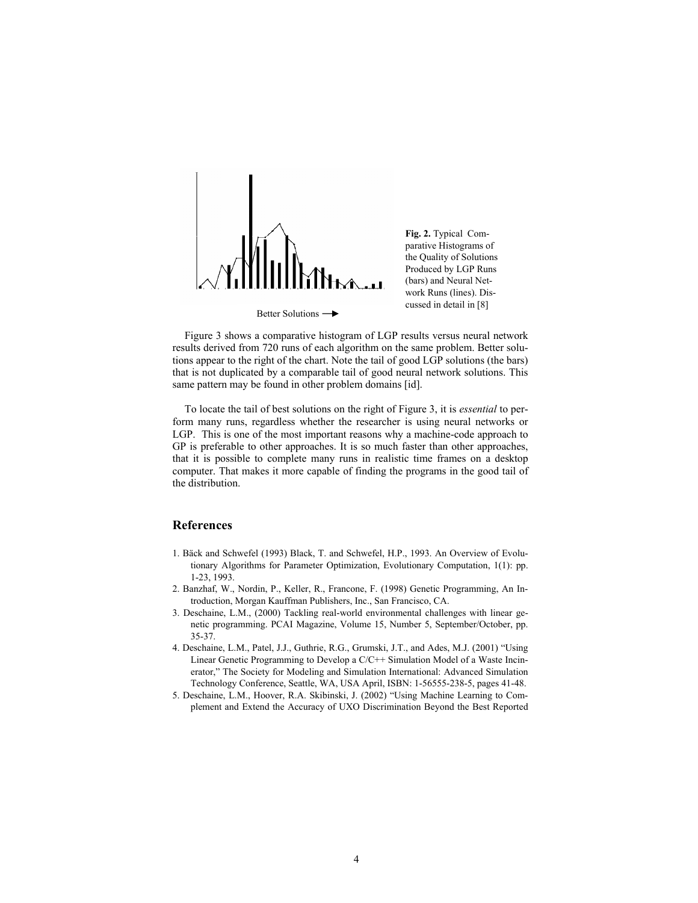

**Fig. 2.** Typical Comparative Histograms of the Quality of Solutions Produced by LGP Runs (bars) and Neural Network Runs (lines). Discussed in detail in [8]

Figure 3 shows a comparative histogram of LGP results versus neural network results derived from 720 runs of each algorithm on the same problem. Better solutions appear to the right of the chart. Note the tail of good LGP solutions (the bars) that is not duplicated by a comparable tail of good neural network solutions. This same pattern may be found in other problem domains [id].

To locate the tail of best solutions on the right of Figure 3, it is *essential* to perform many runs, regardless whether the researcher is using neural networks or LGP. This is one of the most important reasons why a machine-code approach to GP is preferable to other approaches. It is so much faster than other approaches, that it is possible to complete many runs in realistic time frames on a desktop computer. That makes it more capable of finding the programs in the good tail of the distribution.

### **References**

- 1. Bäck and Schwefel (1993) Black, T. and Schwefel, H.P., 1993. An Overview of Evolutionary Algorithms for Parameter Optimization, Evolutionary Computation, 1(1): pp. 1-23, 1993.
- 2. Banzhaf, W., Nordin, P., Keller, R., Francone, F. (1998) Genetic Programming, An Introduction, Morgan Kauffman Publishers, Inc., San Francisco, CA.
- 3. Deschaine, L.M., (2000) Tackling real-world environmental challenges with linear genetic programming. PCAI Magazine, Volume 15, Number 5, September/October, pp. 35-37.
- 4. Deschaine, L.M., Patel, J.J., Guthrie, R.G., Grumski, J.T., and Ades, M.J. (2001) "Using Linear Genetic Programming to Develop a C/C++ Simulation Model of a Waste Incinerator," The Society for Modeling and Simulation International: Advanced Simulation Technology Conference, Seattle, WA, USA April, ISBN: 1-56555-238-5, pages 41-48.
- 5. Deschaine, L.M., Hoover, R.A. Skibinski, J. (2002) "Using Machine Learning to Complement and Extend the Accuracy of UXO Discrimination Beyond the Best Reported